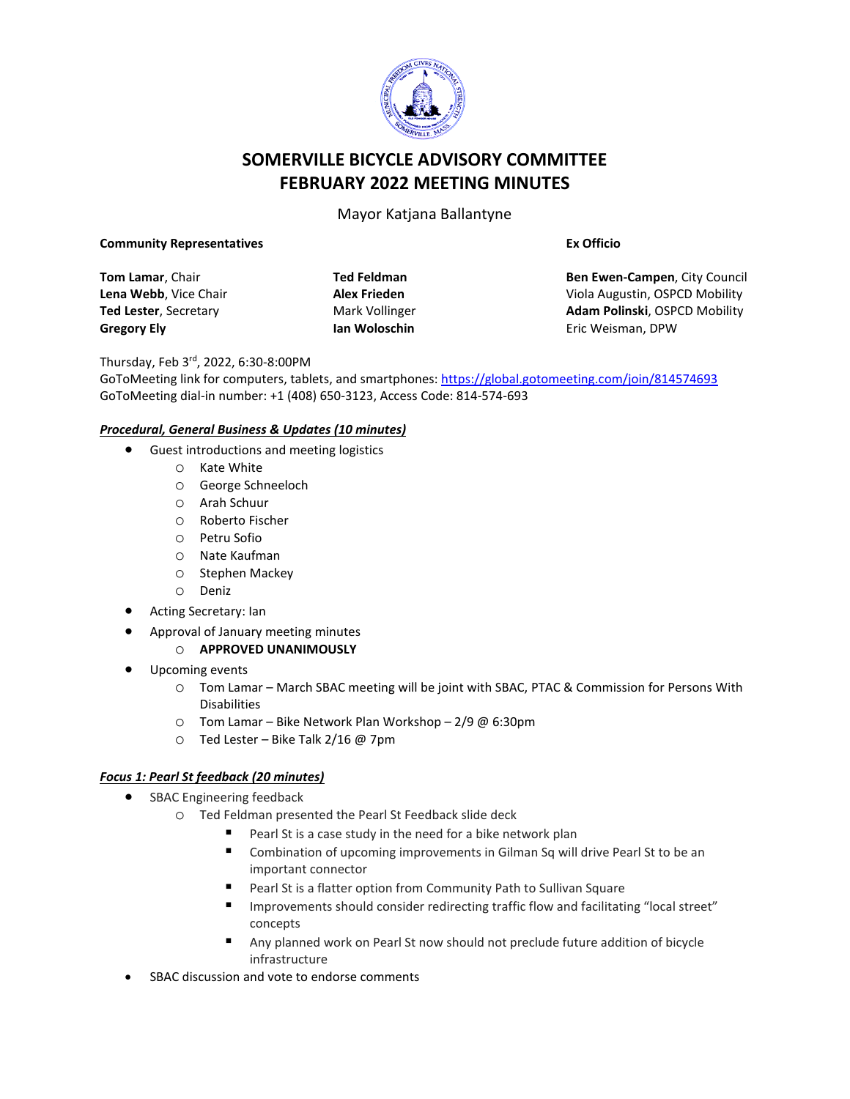

# **SOMERVILLE BICYCLE ADVISORY COMMITTEE FEBRUARY 2022 MEETING MINUTES**

Mayor Katjana Ballantyne

### **Community Representatives**

**Tom Lamar**, Chair **Lena Webb**, Vice Chair **Ted Lester**, Secretary **Gregory Ely**

**Ted Feldman Alex Frieden** Mark Vollinger **Ian Woloschin**

**Ex Officio**

**Ben Ewen-Campen**, City Council Viola Augustin, OSPCD Mobility **Adam Polinski**, OSPCD Mobility Eric Weisman, DPW

Thursday, Feb 3rd, 2022, 6:30-8:00PM

GoToMeeting link for computers, tablets, and smartphones: <https://global.gotomeeting.com/join/814574693> GoToMeeting dial-in number: +1 (408) 650-3123, Access Code: 814-574-693

## *Procedural, General Business & Updates (10 minutes)*

- Guest introductions and meeting logistics
	- o Kate White
	- o George Schneeloch
	- o Arah Schuur
	- o Roberto Fischer
	- o Petru Sofio
	- o Nate Kaufman
	- o Stephen Mackey
	- o Deniz
- Acting Secretary: Ian
- Approval of January meeting minutes
	- o **APPROVED UNANIMOUSLY**
- Upcoming events
	- o Tom Lamar March SBAC meeting will be joint with SBAC, PTAC & Commission for Persons With Disabilities
	- o Tom Lamar Bike Network Plan Workshop 2/9 @ 6:30pm
	- o Ted Lester Bike Talk 2/16 @ 7pm

#### *Focus 1: Pearl St feedback (20 minutes)*

- SBAC Engineering feedback
	- o Ted Feldman presented the Pearl St Feedback slide deck
		- Pearl St is a case study in the need for a bike network plan
		- Combination of upcoming improvements in Gilman Sq will drive Pearl St to be an important connector
		- Pearl St is a flatter option from Community Path to Sullivan Square
		- Improvements should consider redirecting traffic flow and facilitating "local street" concepts
		- Any planned work on Pearl St now should not preclude future addition of bicycle infrastructure
- SBAC discussion and vote to endorse comments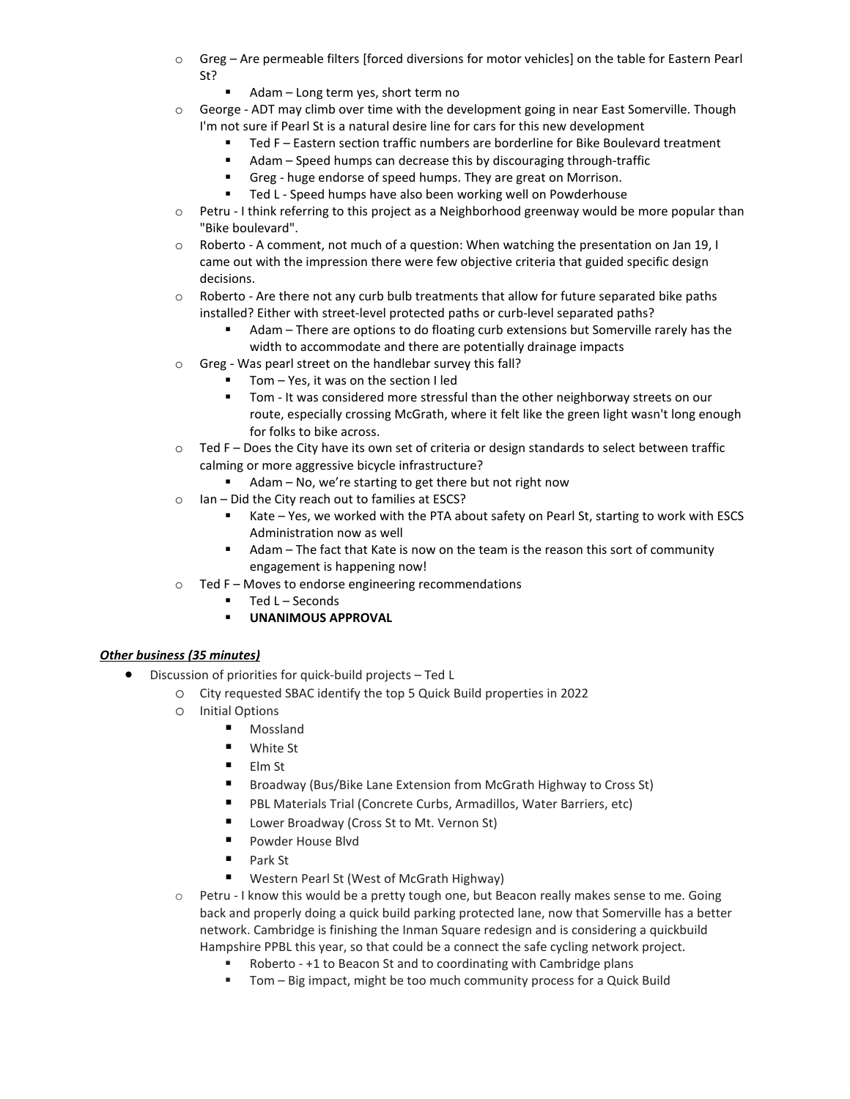- o Greg Are permeable filters [forced diversions for motor vehicles] on the table for Eastern Pearl St?
	- Adam Long term yes, short term no
- $\circ$  George ADT may climb over time with the development going in near East Somerville. Though I'm not sure if Pearl St is a natural desire line for cars for this new development
	- Ted F Eastern section traffic numbers are borderline for Bike Boulevard treatment
	- Adam Speed humps can decrease this by discouraging through-traffic
	- Greg huge endorse of speed humps. They are great on Morrison.
	- Ted L Speed humps have also been working well on Powderhouse
- o Petru I think referring to this project as a Neighborhood greenway would be more popular than "Bike boulevard".
- o Roberto A comment, not much of a question: When watching the presentation on Jan 19, I came out with the impression there were few objective criteria that guided specific design decisions.
- $\circ$  Roberto Are there not any curb bulb treatments that allow for future separated bike paths installed? Either with street-level protected paths or curb-level separated paths?
	- Adam There are options to do floating curb extensions but Somerville rarely has the width to accommodate and there are potentially drainage impacts
- o Greg Was pearl street on the handlebar survey this fall?
	- Tom Yes, it was on the section I led
		- Tom It was considered more stressful than the other neighborway streets on our route, especially crossing McGrath, where it felt like the green light wasn't long enough for folks to bike across.
- o Ted F Does the City have its own set of criteria or design standards to select between traffic calming or more aggressive bicycle infrastructure?
	- Adam No, we're starting to get there but not right now
- o Ian Did the City reach out to families at ESCS?
	- Kate Yes, we worked with the PTA about safety on Pearl St, starting to work with ESCS Administration now as well
	- Adam The fact that Kate is now on the team is the reason this sort of community engagement is happening now!
- o Ted F Moves to endorse engineering recommendations
	- Ted L Seconds
	- **UNANIMOUS APPROVAL**

## *Other business (35 minutes)*

- Discussion of priorities for quick-build projects Ted L
	- o City requested SBAC identify the top 5 Quick Build properties in 2022
	- o Initial Options
		- **Mossland**
		- **White St**
		- Elm St
		- Broadway (Bus/Bike Lane Extension from McGrath Highway to Cross St)
		- PBL Materials Trial (Concrete Curbs, Armadillos, Water Barriers, etc)
		- Lower Broadway (Cross St to Mt. Vernon St)
		- **Powder House Blvd**
		- Park St
		- Western Pearl St (West of McGrath Highway)
	- $\circ$  Petru I know this would be a pretty tough one, but Beacon really makes sense to me. Going back and properly doing a quick build parking protected lane, now that Somerville has a better network. Cambridge is finishing the Inman Square redesign and is considering a quickbuild Hampshire PPBL this year, so that could be a connect the safe cycling network project.
		- Roberto +1 to Beacon St and to coordinating with Cambridge plans
		- Tom Big impact, might be too much community process for a Quick Build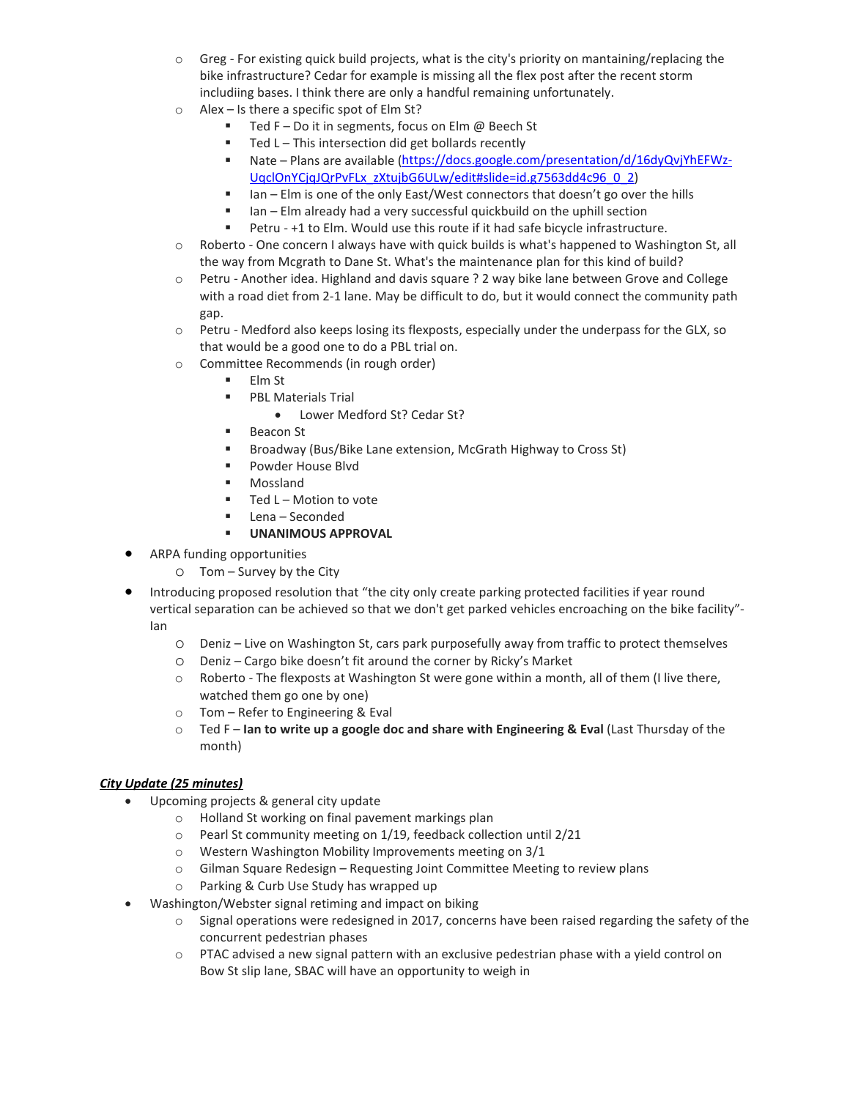- $\circ$  Greg For existing quick build projects, what is the city's priority on mantaining/replacing the bike infrastructure? Cedar for example is missing all the flex post after the recent storm includiing bases. I think there are only a handful remaining unfortunately.
- o Alex Is there a specific spot of Elm St?
	- $\blacksquare$  Ted F Do it in segments, focus on Elm @ Beech St
	- $\blacksquare$  Ted L This intersection did get bollards recently
	- Nate Plans are available [\(https://docs.google.com/presentation/d/16dyQvjYhEFWz-](https://docs.google.com/presentation/d/16dyQvjYhEFWz-UqclOnYCjqJQrPvFLx_zXtujbG6ULw/edit#slide=id.g7563dd4c96_0_2)[UqclOnYCjqJQrPvFLx\\_zXtujbG6ULw/edit#slide=id.g7563dd4c96\\_0\\_2\)](https://docs.google.com/presentation/d/16dyQvjYhEFWz-UqclOnYCjqJQrPvFLx_zXtujbG6ULw/edit#slide=id.g7563dd4c96_0_2)
	- $I$  Ian Elm is one of the only East/West connectors that doesn't go over the hills
	- Ian Elm already had a very successful quickbuild on the uphill section
	- Petru +1 to Elm. Would use this route if it had safe bicycle infrastructure.
- o Roberto One concern I always have with quick builds is what's happened to Washington St, all the way from Mcgrath to Dane St. What's the maintenance plan for this kind of build?
- o Petru Another idea. Highland and davis square ? 2 way bike lane between Grove and College with a road diet from 2-1 lane. May be difficult to do, but it would connect the community path gap.
- o Petru Medford also keeps losing its flexposts, especially under the underpass for the GLX, so that would be a good one to do a PBL trial on.
- $\circ$  Committee Recommends (in rough order)<br>  $\blacksquare$  Fim St
	- Elm St
		- **PBL Materials Trial** 
			- Lower Medford St? Cedar St?
		- Beacon St
		- **Broadway (Bus/Bike Lane extension, McGrath Highway to Cross St)**
		- **Powder House Blvd**
		- Mossland
		- $\blacksquare$  Ted L Motion to vote
		- Lena Seconded
		- **UNANIMOUS APPROVAL**
- ARPA funding opportunities
	- o Tom Survey by the City
- Introducing proposed resolution that "the city only create parking protected facilities if year round vertical separation can be achieved so that we don't get parked vehicles encroaching on the bike facility"- Ian
	- o Deniz Live on Washington St, cars park purposefully away from traffic to protect themselves
	- o Deniz Cargo bike doesn't fit around the corner by Ricky's Market
	- o Roberto The flexposts at Washington St were gone within a month, all of them (I live there, watched them go one by one)
	- o Tom Refer to Engineering & Eval
	- o Ted F **Ian to write up a google doc and share with Engineering & Eval** (Last Thursday of the month)

#### *City Update (25 minutes)*

- Upcoming projects & general city update
	- o Holland St working on final pavement markings plan
	- o Pearl St community meeting on 1/19, feedback collection until 2/21
	- o Western Washington Mobility Improvements meeting on 3/1
	- $\circ$  Gilman Square Redesign Requesting Joint Committee Meeting to review plans  $\circ$  Parking & Curb Use Study has wrapped up
	- Parking & Curb Use Study has wrapped up
- Washington/Webster signal retiming and impact on biking
	- o Signal operations were redesigned in 2017, concerns have been raised regarding the safety of the concurrent pedestrian phases
	- o PTAC advised a new signal pattern with an exclusive pedestrian phase with a yield control on Bow St slip lane, SBAC will have an opportunity to weigh in